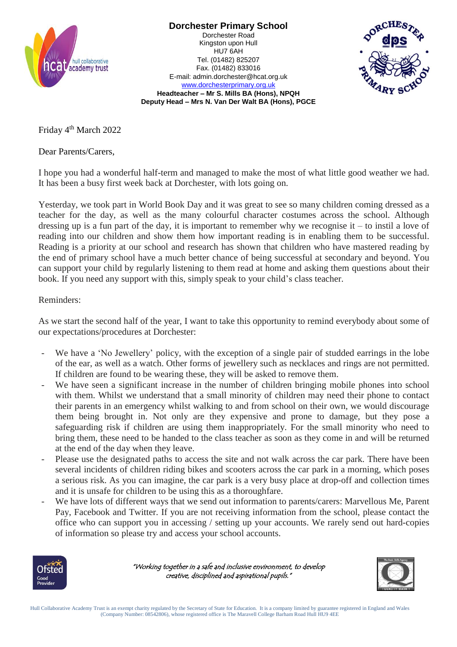

**Dorchester Primary School** Dorchester Road Kingston upon Hull HU7 6AH Tel. (01482) 825207 Fax. (01482) 833016



[www.dorchesterprimary.org.uk](http://www.dorchester.hull.sch.uk/) **Headteacher – Mr S. Mills BA (Hons), NPQH Deputy Head – Mrs N. Van Der Walt BA (Hons), PGCE**

E-mail: admin.dorchester@hcat.org.uk

Friday 4<sup>th</sup> March 2022

Dear Parents/Carers,

I hope you had a wonderful half-term and managed to make the most of what little good weather we had. It has been a busy first week back at Dorchester, with lots going on.

Yesterday, we took part in World Book Day and it was great to see so many children coming dressed as a teacher for the day, as well as the many colourful character costumes across the school. Although dressing up is a fun part of the day, it is important to remember why we recognise it – to instil a love of reading into our children and show them how important reading is in enabling them to be successful. Reading is a priority at our school and research has shown that children who have mastered reading by the end of primary school have a much better chance of being successful at secondary and beyond. You can support your child by regularly listening to them read at home and asking them questions about their book. If you need any support with this, simply speak to your child's class teacher.

## Reminders:

As we start the second half of the year, I want to take this opportunity to remind everybody about some of our expectations/procedures at Dorchester:

- We have a 'No Jewellery' policy, with the exception of a single pair of studded earrings in the lobe of the ear, as well as a watch. Other forms of jewellery such as necklaces and rings are not permitted. If children are found to be wearing these, they will be asked to remove them.
- We have seen a significant increase in the number of children bringing mobile phones into school with them. Whilst we understand that a small minority of children may need their phone to contact their parents in an emergency whilst walking to and from school on their own, we would discourage them being brought in. Not only are they expensive and prone to damage, but they pose a safeguarding risk if children are using them inappropriately. For the small minority who need to bring them, these need to be handed to the class teacher as soon as they come in and will be returned at the end of the day when they leave.
- Please use the designated paths to access the site and not walk across the car park. There have been several incidents of children riding bikes and scooters across the car park in a morning, which poses a serious risk. As you can imagine, the car park is a very busy place at drop-off and collection times and it is unsafe for children to be using this as a thoroughfare.
- We have lots of different ways that we send out information to parents/carers: Marvellous Me, Parent Pay, Facebook and Twitter. If you are not receiving information from the school, please contact the office who can support you in accessing / setting up your accounts. We rarely send out hard-copies of information so please try and access your school accounts.



"Working together in a safe and inclusive environment, to develop creative, disciplined and aspirational pupils."